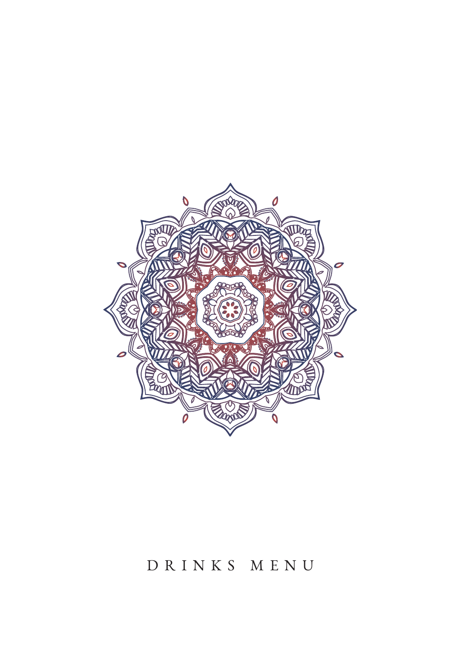

# DRINKS MENU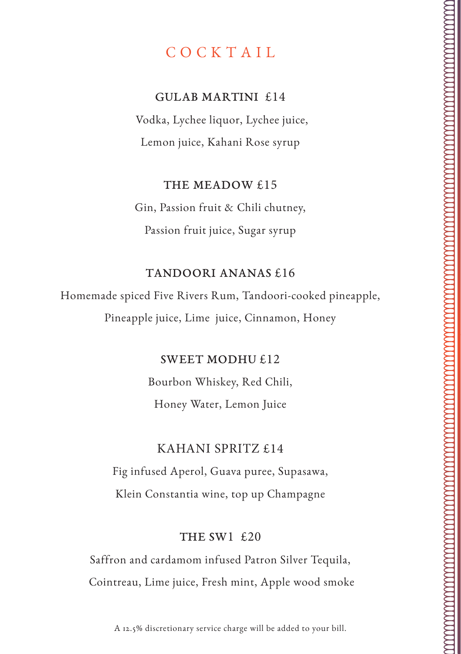# COCKTAIL

#### GULAB MARTINI £14

Vodka, Lychee liquor, Lychee juice, Lemon juice, Kahani Rose syrup

#### THE MEADOW £15

Gin, Passion fruit & Chili chutney, Passion fruit juice, Sugar syrup

#### TANDOORI ANANAS £16

Homemade spiced Five Rivers Rum, Tandoori-cooked pineapple, Pineapple juice, Lime juice, Cinnamon, Honey

#### SWEET MODHU £12

Bourbon Whiskey, Red Chili, Honey Water, Lemon Juice

### KAHANI SPRITZ £14

Fig infused Aperol, Guava puree, Supasawa, Klein Constantia wine, top up Champagne

#### THE SW1 £20

Saffron and cardamom infused Patron Silver Tequila, Cointreau, Lime juice, Fresh mint, Apple wood smoke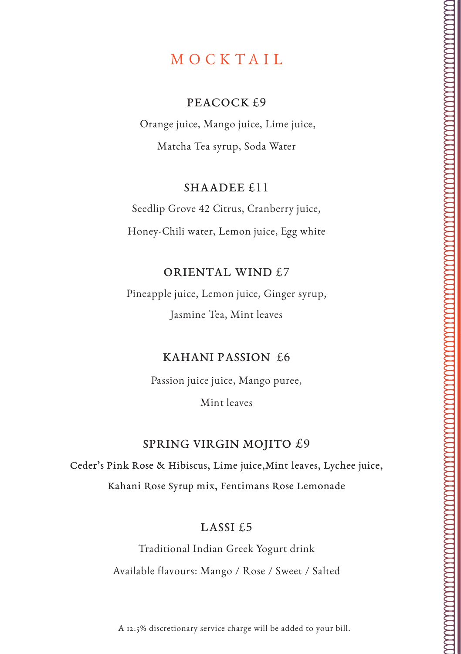# MOCKTAIL

#### PEACOCK  $f$ .9

 Orange juice, Mango juice, Lime juice, Matcha Tea syrup, Soda Water

#### SHAADEE £11

Seedlip Grove 42 Citrus, Cranberry juice, Honey-Chili water, Lemon juice, Egg white

#### ORIENTAL WIND £7

Pineapple juice, Lemon juice, Ginger syrup, Jasmine Tea, Mint leaves

#### KAHANI PASSION £6

Passion juice juice, Mango puree, Mint leaves

#### SPRING VIRGIN MOJITO £9

Ceder's Pink Rose & Hibiscus, Lime juice,Mint leaves, Lychee juice, Kahani Rose Syrup mix, Fentimans Rose Lemonade

#### LASSI £5

Traditional Indian Greek Yogurt drink Available flavours: Mango / Rose / Sweet / Salted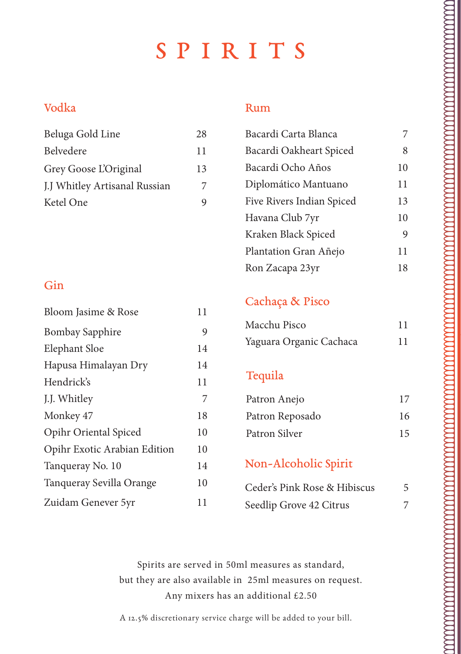# SPIRITS

## Vodka

| Beluga Gold Line              | 28 |
|-------------------------------|----|
| Belvedere                     | 11 |
| Grey Goose L'Original         | 13 |
| J.J Whitley Artisanal Russian | 7  |
| Ketel One                     | 9  |

## Gin

| Bloom Jasime & Rose          | 11 |
|------------------------------|----|
| <b>Bombay Sapphire</b>       | 9  |
| Elephant Sloe                | 14 |
| Hapusa Himalayan Dry         | 14 |
| Hendrick's                   | 11 |
| J.J. Whitley                 | 7  |
| Monkey 47                    | 18 |
| Opihr Oriental Spiced        | 10 |
| Opihr Exotic Arabian Edition | 10 |
| Tanqueray No. 10             | 14 |
| Tanqueray Sevilla Orange     | 10 |
| Zuidam Genever 5yr           | 11 |

#### Rum

| Bacardi Carta Blanca      |    |
|---------------------------|----|
| Bacardi Oakheart Spiced   | 8  |
| Bacardi Ocho Años         | 10 |
| Diplomático Mantuano      | 11 |
| Five Rivers Indian Spiced | 13 |
| Havana Club 7yr           | 10 |
| Kraken Black Spiced       | 9  |
| Plantation Gran Añejo     | 11 |
| Ron Zacapa 23yr           | 18 |

# Cachaça & Pisco

| Macchu Pisco            | 11 |
|-------------------------|----|
| Yaguara Organic Cachaca | 11 |

## Tequila

| Patron Anejo    | 17 |
|-----------------|----|
| Patron Reposado | 16 |
| Patron Silver   | 15 |

# Non-Alcoholic Spirit

| Ceder's Pink Rose & Hibiscus |  |
|------------------------------|--|
| Seedlip Grove 42 Citrus      |  |

Spirits are served in 50ml measures as standard, but they are also available in 25ml measures on request. Any mixers has an additional £2.50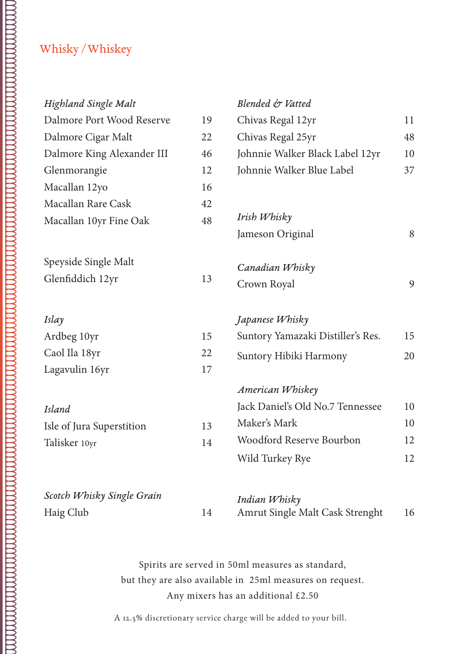| Highland Single Malt       |    | Blended & Vatted                  |    |
|----------------------------|----|-----------------------------------|----|
| Dalmore Port Wood Reserve  | 19 | Chivas Regal 12yr                 | 11 |
| Dalmore Cigar Malt         | 22 | Chivas Regal 25yr                 | 48 |
| Dalmore King Alexander III | 46 | Johnnie Walker Black Label 12yr   | 10 |
| Glenmorangie               | 12 | Johnnie Walker Blue Label         | 37 |
| Macallan 12yo              | 16 |                                   |    |
| Macallan Rare Cask         | 42 |                                   |    |
| Macallan 10yr Fine Oak     | 48 | Irish Whisky                      |    |
|                            |    | Jameson Original                  | 8  |
| Speyside Single Malt       |    | Canadian Whisky                   |    |
| Glenfiddich 12yr           | 13 | Crown Royal                       | 9  |
| Islay                      |    | Japanese Whisky                   |    |
| Ardbeg 10yr                | 15 | Suntory Yamazaki Distiller's Res. | 15 |
| Caol Ila 18yr              | 22 | Suntory Hibiki Harmony            | 20 |
| Lagavulin 16yr             | 17 |                                   |    |
|                            |    | American Whiskey                  |    |
| <b>Island</b>              |    | Jack Daniel's Old No.7 Tennessee  | 10 |
| Isle of Jura Superstition  | 13 | Maker's Mark                      | 10 |
| Talisker 10yr              | 14 | Woodford Reserve Bourbon          | 12 |
|                            |    | Wild Turkey Rye                   | 12 |
| Scotch Whisky Single Grain |    | Indian Whisky                     |    |
| Haig Club                  | 14 | Amrut Single Malt Cask Strenght   | 16 |

Spirits are served in 50ml measures as standard, but they are also available in 25ml measures on request. Any mixers has an additional £2.50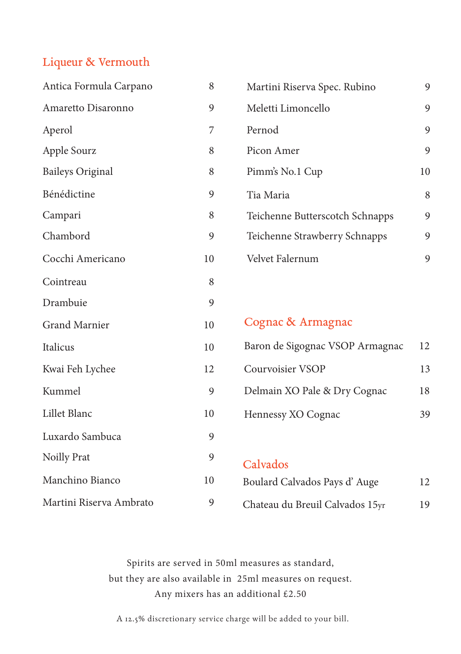#### Liqueur & Vermouth

| Antica Formula Carpano  | 8  |
|-------------------------|----|
| Amaretto Disaronno      | 9  |
| Aperol                  | 7  |
| Apple Sourz             | 8  |
| <b>Baileys Original</b> | 8  |
| Bénédictine             | 9  |
| Campari                 | 8  |
| Chambord                | 9  |
| Cocchi Americano        | 10 |
| Cointreau               | 8  |
| Drambuie                | 9  |
| <b>Grand Marnier</b>    | 10 |
| Italicus                | 10 |
| Kwai Feh Lychee         | 12 |
| Kummel                  | 9  |
| Lillet Blanc            | 10 |
| Luxardo Sambuca         | 9  |
| Noilly Prat             | 9  |
| Manchino Bianco         | 10 |
| Martini Riserva Ambrato | 9  |

| Martini Riserva Spec. Rubino    | Q  |
|---------------------------------|----|
| Meletti Limoncello              | 9  |
| Pernod                          | 9  |
| Picon Amer                      | 9  |
| Pimm's No.1 Cup                 | 10 |
| Tia Maria                       | 8  |
| Teichenne Butterscotch Schnapps | 9  |
| Teichenne Strawberry Schnapps   | 9  |
| Velvet Falernum                 |    |

Cognac & Armagnac Baron de Sigognac VSOP Armagnac 12 Courvoisier VSOP 13 Delmain XO Pale & Dry Cognac 18 Hennessy XO Cognac 39

Calvados Boulard Calvados Pays d' Auge 12 Chateau du Breuil Calvados 15yr 19

Spirits are served in 50ml measures as standard, but they are also available in 25ml measures on request. Any mixers has an additional £2.50